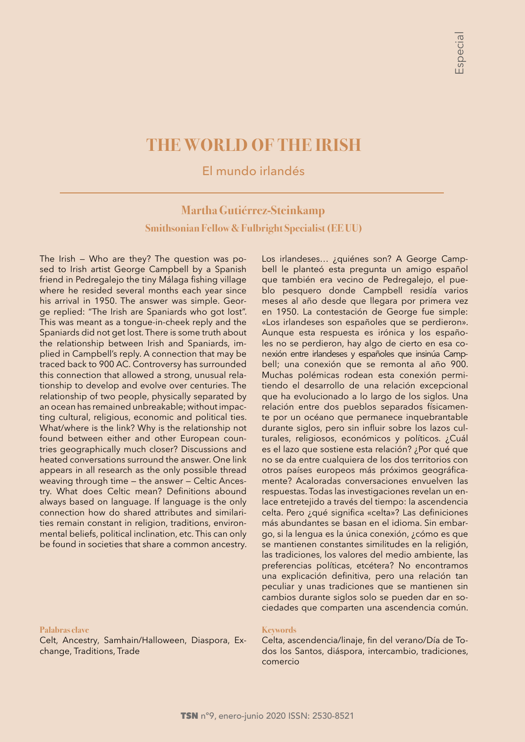# **THE WORLD OF THE IRISH**

El mundo irlandés

# **Martha Gutiérrez-Steinkamp Smithsonian Fellow & Fulbright Specialist (EE UU)**

The Irish — Who are they? The question was posed to Irish artist George Campbell by a Spanish friend in Pedregalejo the tiny Málaga fishing village where he resided several months each year since his arrival in 1950. The answer was simple. George replied: "The Irish are Spaniards who got lost". This was meant as a tongue-in-cheek reply and the Spaniards did not get lost. There is some truth about the relationship between Irish and Spaniards, implied in Campbell's reply. A connection that may be traced back to 900 AC. Controversy has surrounded this connection that allowed a strong, unusual relationship to develop and evolve over centuries. The relationship of two people, physically separated by an ocean has remained unbreakable; without impacting cultural, religious, economic and political ties. What/where is the link? Why is the relationship not found between either and other European countries geographically much closer? Discussions and heated conversations surround the answer. One link appears in all research as the only possible thread weaving through time — the answer — Celtic Ancestry. What does Celtic mean? Definitions abound always based on language. If language is the only connection how do shared attributes and similarities remain constant in religion, traditions, environmental beliefs, political inclination, etc. This can only be found in societies that share a common ancestry.

### **Palabras clave**

Celt, Ancestry, Samhain/Halloween, Diaspora, Exchange, Traditions, Trade

Los irlandeses… ¿quiénes son? A George Campbell le planteó esta pregunta un amigo español que también era vecino de Pedregalejo, el pueblo pesquero donde Campbell residía varios meses al año desde que llegara por primera vez en 1950. La contestación de George fue simple: «Los irlandeses son españoles que se perdieron». Aunque esta respuesta es irónica y los españoles no se perdieron, hay algo de cierto en esa conexión entre irlandeses y españoles que insinúa Campbell; una conexión que se remonta al año 900. Muchas polémicas rodean esta conexión permitiendo el desarrollo de una relación excepcional que ha evolucionado a lo largo de los siglos. Una relación entre dos pueblos separados físicamente por un océano que permanece inquebrantable durante siglos, pero sin influir sobre los lazos culturales, religiosos, económicos y políticos. ¿Cuál es el lazo que sostiene esta relación? ¿Por qué que no se da entre cualquiera de los dos territorios con otros países europeos más próximos geográficamente? Acaloradas conversaciones envuelven las respuestas. Todas las investigaciones revelan un enlace entretejido a través del tiempo: la ascendencia celta. Pero ¿qué significa «celta»? Las definiciones más abundantes se basan en el idioma. Sin embargo, si la lengua es la única conexión, ¿cómo es que se mantienen constantes similitudes en la religión, las tradiciones, los valores del medio ambiente, las preferencias políticas, etcétera? No encontramos una explicación definitiva, pero una relación tan peculiar y unas tradiciones que se mantienen sin cambios durante siglos solo se pueden dar en sociedades que comparten una ascendencia común.

#### **Keywords**

Celta, ascendencia/linaje, fin del verano/Día de Todos los Santos, diáspora, intercambio, tradiciones, comercio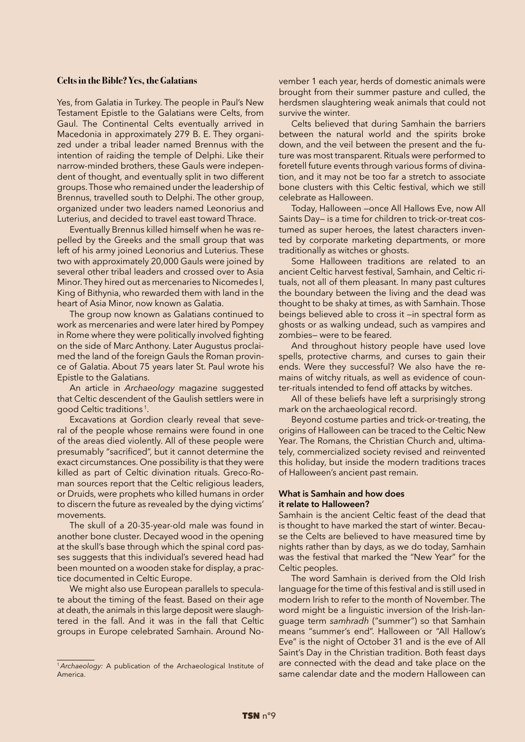# **Celts in the Bible? Yes, the Galatians**

Yes, from Galatia in Turkey. The people in Paul's New Testament Epistle to the Galatians were Celts, from Gaul. The Continental Celts eventually arrived in Macedonia in approximately 279 B. E. They organized under a tribal leader named Brennus with the intention of raiding the temple of Delphi. Like their narrow-minded brothers, these Gauls were independent of thought, and eventually split in two different groups. Those who remained under the leadership of Brennus, travelled south to Delphi. The other group, organized under two leaders named Leonorius and Luterius, and decided to travel east toward Thrace.

Eventually Brennus killed himself when he was repelled by the Greeks and the small group that was left of his army joined Leonorius and Luterius. These two with approximately 20,000 Gauls were joined by several other tribal leaders and crossed over to Asia Minor. They hired out as mercenaries to Nicomedes I, King of Bithynia, who rewarded them with land in the heart of Asia Minor, now known as Galatia.

The group now known as Galatians continued to work as mercenaries and were later hired by Pompey in Rome where they were politically involved fighting on the side of Marc Anthony. Later Augustus proclaimed the land of the foreign Gauls the Roman province of Galatia. About 75 years later St. Paul wrote his Epistle to the Galatians.

An article in *Archaeology* magazine suggested that Celtic descendent of the Gaulish settlers were in good Celtic traditions 1.

Excavations at Gordion clearly reveal that several of the people whose remains were found in one of the areas died violently. All of these people were presumably "sacrificed", but it cannot determine the exact circumstances. One possibility is that they were killed as part of Celtic divination rituals. Greco-Roman sources report that the Celtic religious leaders, or Druids, were prophets who killed humans in order to discern the future as revealed by the dying victims' movements.

The skull of a 20-35-year-old male was found in another bone cluster. Decayed wood in the opening at the skull's base through which the spinal cord passes suggests that this individual's severed head had been mounted on a wooden stake for display, a practice documented in Celtic Europe.

We might also use European parallels to speculate about the timing of the feast. Based on their age at death, the animals in this large deposit were slaughtered in the fall. And it was in the fall that Celtic groups in Europe celebrated Samhain. Around November 1 each year, herds of domestic animals were brought from their summer pasture and culled, the herdsmen slaughtering weak animals that could not survive the winter.

Celts believed that during Samhain the barriers between the natural world and the spirits broke down, and the veil between the present and the future was most transparent. Rituals were performed to foretell future events through various forms of divination, and it may not be too far a stretch to associate bone clusters with this Celtic festival, which we still celebrate as Halloween.

Today, Halloween —once All Hallows Eve, now All Saints Day— is a time for children to trick-or-treat costumed as super heroes, the latest characters invented by corporate marketing departments, or more traditionally as witches or ghosts.

Some Halloween traditions are related to an ancient Celtic harvest festival, Samhain, and Celtic rituals, not all of them pleasant. In many past cultures the boundary between the living and the dead was thought to be shaky at times, as with Samhain. Those beings believed able to cross it —in spectral form as ghosts or as walking undead, such as vampires and zombies— were to be feared.

And throughout history people have used love spells, protective charms, and curses to gain their ends. Were they successful? We also have the remains of witchy rituals, as well as evidence of counter-rituals intended to fend off attacks by witches.

All of these beliefs have left a surprisingly strong mark on the archaeological record.

Beyond costume parties and trick-or-treating, the origins of Halloween can be traced to the Celtic New Year. The Romans, the Christian Church and, ultimately, commercialized society revised and reinvented this holiday, but inside the modern traditions traces of Halloween's ancient past remain.

# **What is Samhain and how does it relate to Halloween?**

Samhain is the ancient Celtic feast of the dead that is thought to have marked the start of winter. Because the Celts are believed to have measured time by nights rather than by days, as we do today, Samhain was the festival that marked the "New Year" for the Celtic peoples.

The word Samhain is derived from the Old Irish language for the time of this festival and is still used in modern Irish to refer to the month of November. The word might be a linguistic inversion of the Irish-language term *samhradh* ("summer") so that Samhain means "summer's end". Halloween or "All Hallow's Eve" is the night of October 31 and is the eve of All Saint's Day in the Christian tradition. Both feast days are connected with the dead and take place on the same calendar date and the modern Halloween can

<sup>1</sup>*Archaeology:* A publication of the Archaeological Institute of America.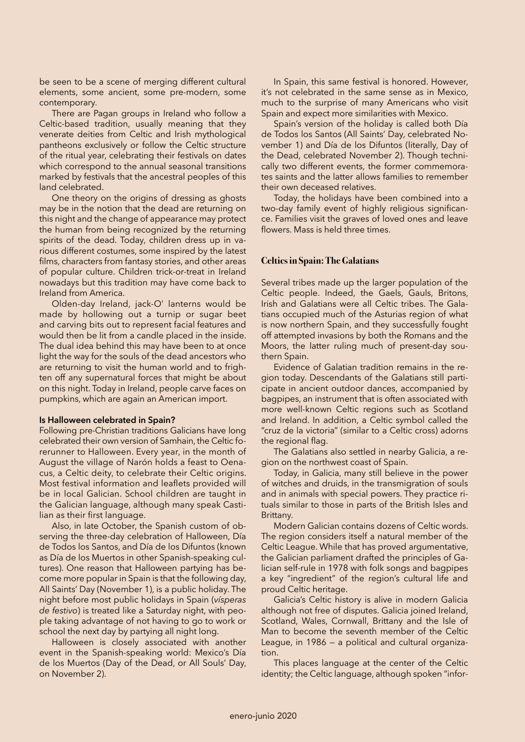be seen to be a scene of merging different cultural elements, some ancient, some pre-modern, some contemporary.

There are Pagan groups in Ireland who follow a Celtic-based tradition, usually meaning that they venerate deities from Celtic and Irish mythological pantheons exclusively or follow the Celtic structure of the ritual year, celebrating their festivals on dates which correspond to the annual seasonal transitions marked by festivals that the ancestral peoples of this land celebrated.

One theory on the origins of dressing as ghosts may be in the notion that the dead are returning on this night and the change of appearance may protect the human from being recognized by the returning spirits of the dead. Today, children dress up in various different costumes, some inspired by the latest films, characters from fantasy stories, and other areas of popular culture. Children trick-or-treat in Ireland nowadays but this tradition may have come back to Ireland from America.

Olden-day Ireland, jack-O' lanterns would be made by hollowing out a turnip or sugar beet and carving bits out to represent facial features and would then be lit from a candle placed in the inside. The dual idea behind this may have been to at once light the way for the souls of the dead ancestors who are returning to visit the human world and to frighten off any supernatural forces that might be about on this night. Today in Ireland, people carve faces on pumpkins, which are again an American import.

# **Is Halloween celebrated in Spain?**

Following pre-Christian traditions Galicians have long celebrated their own version of Samhain, the Celtic forerunner to Halloween. Every year, in the month of August the village of Narón holds a feast to Oenacus, a Celtic deity, to celebrate their Celtic origins. Most festival information and leaflets provided will be in local Galician. School children are taught in the Galician language, although many speak Castilian as their first language.

Also, in late October, the Spanish custom of observing the three-day celebration of Halloween, Día de Todos los Santos, and Día de los Difuntos (known as Día de los Muertos in other Spanish-speaking cultures). One reason that Halloween partying has become more popular in Spain is that the following day, All Saints' Day (November 1), is a public holiday. The night before most public holidays in Spain (*vísperas de festivo*) is treated like a Saturday night, with people taking advantage of not having to go to work or school the next day by partying all night long.

Halloween is closely associated with another event in the Spanish-speaking world: Mexico's Día de los Muertos (Day of the Dead, or All Souls' Day, on November 2).

In Spain, this same festival is honored. However, it's not celebrated in the same sense as in Mexico, much to the surprise of many Americans who visit Spain and expect more similarities with Mexico.

Spain's version of the holiday is called both Día de Todos los Santos (All Saints' Day, celebrated November 1) and Día de los Difuntos (literally, Day of the Dead, celebrated November 2). Though technically two different events, the former commemorates saints and the latter allows families to remember their own deceased relatives.

Today, the holidays have been combined into a two-day family event of highly religious significance. Families visit the graves of loved ones and leave flowers. Mass is held three times.

# **Celtics in Spain: The Galatians**

Several tribes made up the larger population of the Celtic people. Indeed, the Gaels, Gauls, Britons, Irish and Galatians were all Celtic tribes. The Galatians occupied much of the Asturias region of what is now northern Spain, and they successfully fought off attempted invasions by both the Romans and the Moors, the latter ruling much of present-day southern Spain.

Evidence of Galatian tradition remains in the region today. Descendants of the Galatians still participate in ancient outdoor dances, accompanied by bagpipes, an instrument that is often associated with more well-known Celtic regions such as Scotland and Ireland. In addition, a Celtic symbol called the "cruz de la victoria" (similar to a Celtic cross) adorns the regional flag.

The Galatians also settled in nearby Galicia, a region on the northwest coast of Spain.

Today, in Galicia, many still believe in the power of witches and druids, in the transmigration of souls and in animals with special powers. They practice rituals similar to those in parts of the British Isles and Brittany.

Modern Galician contains dozens of Celtic words. The region considers itself a natural member of the Celtic League. While that has proved argumentative, the Galician parliament drafted the principles of Galician self-rule in 1978 with folk songs and bagpipes a key "ingredient" of the region's cultural life and proud Celtic heritage.

Galicia's Celtic history is alive in modern Galicia although not free of disputes. Galicia joined Ireland, Scotland, Wales, Cornwall, Brittany and the Isle of Man to become the seventh member of the Celtic League, in 1986 — a political and cultural organization.

This places language at the center of the Celtic identity; the Celtic language, although spoken "infor-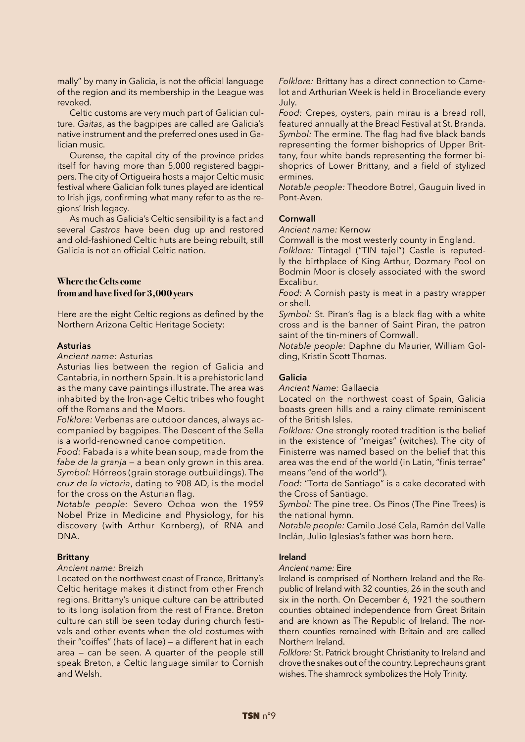mally" by many in Galicia, is not the official language of the region and its membership in the League was revoked.

Celtic customs are very much part of Galician culture. *Gaitas*, as the bagpipes are called are Galicia's native instrument and the preferred ones used in Galician music.

Ourense, the capital city of the province prides itself for having more than 5,000 registered bagpipers. The city of Ortigueira hosts a major Celtic music festival where Galician folk tunes played are identical to Irish jigs, confirming what many refer to as the regions' Irish legacy.

As much as Galicia's Celtic sensibility is a fact and several *Castros* have been dug up and restored and old-fashioned Celtic huts are being rebuilt, still Galicia is not an official Celtic nation.

# **Where the Celts come from and have lived for 3,000 years**

Here are the eight Celtic regions as defined by the Northern Arizona Celtic Heritage Society:

# **Asturias**

# *Ancient name:* Asturias

Asturias lies between the region of Galicia and Cantabria, in northern Spain. It is a prehistoric land as the many cave paintings illustrate. The area was inhabited by the Iron-age Celtic tribes who fought off the Romans and the Moors.

*Folklore:* Verbenas are outdoor dances, always accompanied by bagpipes. The Descent of the Sella is a world-renowned canoe competition.

*Food:* Fabada is a white bean soup, made from the *fabe de la granja* — a bean only grown in this area. *Symbol:* Hórreos (grain storage outbuildings). The *cruz de la victoria*, dating to 908 AD, is the model for the cross on the Asturian flag.

*Notable people:* Severo Ochoa won the 1959 Nobel Prize in Medicine and Physiology, for his discovery (with Arthur Kornberg), of RNA and DNA.

# **Brittany**

# *Ancient name:* Breizh

Located on the northwest coast of France, Brittany's Celtic heritage makes it distinct from other French regions. Brittany's unique culture can be attributed to its long isolation from the rest of France. Breton culture can still be seen today during church festivals and other events when the old costumes with their "coiffes" (hats of lace) — a different hat in each area — can be seen. A quarter of the people still speak Breton, a Celtic language similar to Cornish and Welsh.

*Folklore:* Brittany has a direct connection to Camelot and Arthurian Week is held in Broceliande every July.

*Food:* Crepes, oysters, pain mirau is a bread roll, featured annually at the Bread Festival at St. Branda. *Symbol:* The ermine. The flag had five black bands representing the former bishoprics of Upper Brittany, four white bands representing the former bishoprics of Lower Brittany, and a field of stylized ermines.

*Notable people:* Theodore Botrel, Gauguin lived in Pont-Aven.

# **Cornwall**

*Ancient name:* Kernow

Cornwall is the most westerly county in England. *Folklore:* Tintagel ("TIN tajel") Castle is reputedly the birthplace of King Arthur, Dozmary Pool on Bodmin Moor is closely associated with the sword Excalibur.

*Food:* A Cornish pasty is meat in a pastry wrapper or shell.

*Symbol:* St. Piran's flag is a black flag with a white cross and is the banner of Saint Piran, the patron saint of the tin-miners of Cornwall.

*Notable people:* Daphne du Maurier, William Golding, Kristin Scott Thomas.

# **Galicia**

*Ancient Name:* Gallaecia

Located on the northwest coast of Spain, Galicia boasts green hills and a rainy climate reminiscent of the British Isles.

*Folklore:* One strongly rooted tradition is the belief in the existence of "meigas" (witches). The city of Finisterre was named based on the belief that this area was the end of the world (in Latin, "finis terrae" means "end of the world").

*Food:* "Torta de Santiago" is a cake decorated with the Cross of Santiago.

*Symbol:* The pine tree. Os Pinos (The Pine Trees) is the national hymn.

*Notable people:* Camilo José Cela, Ramón del Valle Inclán, Julio Iglesias's father was born here.

# **Ireland**

#### *Ancient name:* Eire

Ireland is comprised of Northern Ireland and the Republic of Ireland with 32 counties, 26 in the south and six in the north. On December 6, 1921 the southern counties obtained independence from Great Britain and are known as The Republic of Ireland. The northern counties remained with Britain and are called Northern Ireland.

*Folklore:* St. Patrick brought Christianity to Ireland and drove the snakes out of the country. Leprechauns grant wishes. The shamrock symbolizes the Holy Trinity.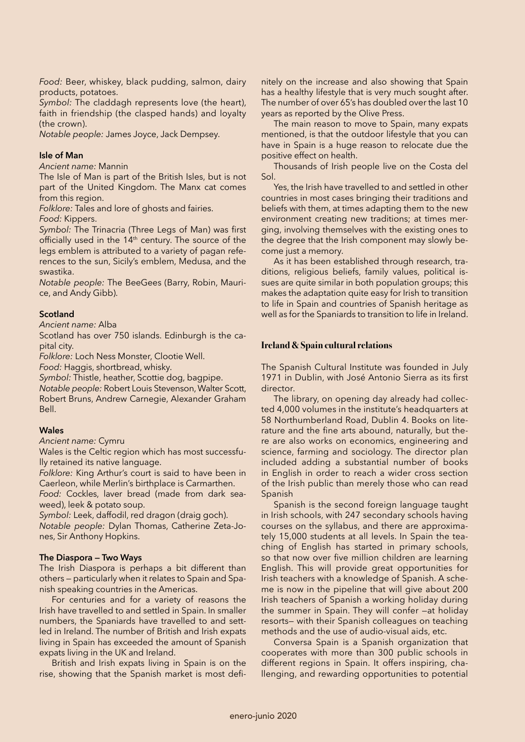*Food:* Beer, whiskey, black pudding, salmon, dairy products, potatoes.

*Symbol:* The claddagh represents love (the heart), faith in friendship (the clasped hands) and loyalty (the crown).

*Notable people:* James Joyce, Jack Dempsey.

# **Isle of Man**

*Ancient name:* Mannin

The Isle of Man is part of the British Isles, but is not part of the United Kingdom. The Manx cat comes from this region.

*Folklore:* Tales and lore of ghosts and fairies.

*Food:* Kippers.

*Symbol:* The Trinacria (Three Legs of Man) was first officially used in the 14<sup>th</sup> century. The source of the legs emblem is attributed to a variety of pagan references to the sun, Sicily's emblem, Medusa, and the swastika.

*Notable people:* The BeeGees (Barry, Robin, Maurice, and Andy Gibb).

# **Scotland**

*Ancient name:* Alba

Scotland has over 750 islands. Edinburgh is the capital city.

*Folklore:* Loch Ness Monster, Clootie Well.

*Food:* Haggis, shortbread, whisky.

*Symbol:* Thistle, heather, Scottie dog, bagpipe. *Notable people:* Robert Louis Stevenson, Walter Scott, Robert Bruns, Andrew Carnegie, Alexander Graham Bell.

# **Wales**

*Ancient name:* Cymru

Wales is the Celtic region which has most successfully retained its native language.

*Folklore:* King Arthur's court is said to have been in Caerleon, while Merlin's birthplace is Carmarthen.

*Food:* Cockles, laver bread (made from dark seaweed), leek & potato soup.

*Symbol:* Leek, daffodil, red dragon (draig goch). *Notable people:* Dylan Thomas, Catherine Zeta-Jones, Sir Anthony Hopkins.

# **The Diaspora — Two Ways**

The Irish Diaspora is perhaps a bit different than others — particularly when it relates to Spain and Spanish speaking countries in the Americas.

For centuries and for a variety of reasons the Irish have travelled to and settled in Spain. In smaller numbers, the Spaniards have travelled to and settled in Ireland. The number of British and Irish expats living in Spain has exceeded the amount of Spanish expats living in the UK and Ireland.

British and Irish expats living in Spain is on the rise, showing that the Spanish market is most defi-

nitely on the increase and also showing that Spain has a healthy lifestyle that is very much sought after. The number of over 65's has doubled over the last 10 years as reported by the Olive Press.

The main reason to move to Spain, many expats mentioned, is that the outdoor lifestyle that you can have in Spain is a huge reason to relocate due the positive effect on health.

Thousands of Irish people live on the Costa del Sol.

Yes, the Irish have travelled to and settled in other countries in most cases bringing their traditions and beliefs with them, at times adapting them to the new environment creating new traditions; at times merging, involving themselves with the existing ones to the degree that the Irish component may slowly become just a memory.

As it has been established through research, traditions, religious beliefs, family values, political issues are quite similar in both population groups; this makes the adaptation quite easy for Irish to transition to life in Spain and countries of Spanish heritage as well as for the Spaniards to transition to life in Ireland.

# **Ireland & Spain cultural relations**

The Spanish Cultural Institute was founded in July 1971 in Dublin, with José Antonio Sierra as its first director.

The library, on opening day already had collected 4,000 volumes in the institute's headquarters at 58 Northumberland Road, Dublin 4. Books on literature and the fine arts abound, naturally, but there are also works on economics, engineering and science, farming and sociology. The director plan included adding a substantial number of books in English in order to reach a wider cross section of the Irish public than merely those who can read Spanish

Spanish is the second foreign language taught in Irish schools, with 247 secondary schools having courses on the syllabus, and there are approximately 15,000 students at all levels. In Spain the teaching of English has started in primary schools, so that now over five million children are learning English. This will provide great opportunities for Irish teachers with a knowledge of Spanish. A scheme is now in the pipeline that will give about 200 Irish teachers of Spanish a working holiday during the summer in Spain. They will confer —at holiday resorts— with their Spanish colleagues on teaching methods and the use of audio-visual aids, etc.

Conversa Spain is a Spanish organization that cooperates with more than 300 public schools in different regions in Spain. It offers inspiring, challenging, and rewarding opportunities to potential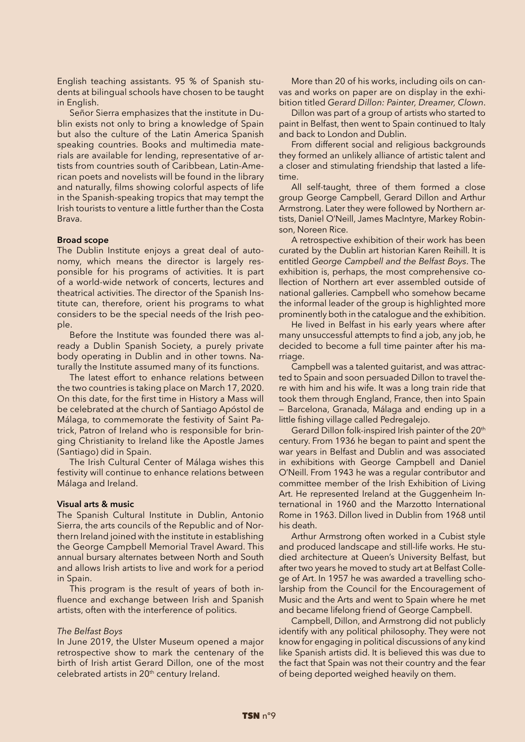English teaching assistants. 95 % of Spanish students at bilingual schools have chosen to be taught in English.

Señor Sierra emphasizes that the institute in Dublin exists not only to bring a knowledge of Spain but also the culture of the Latin America Spanish speaking countries. Books and multimedia materials are available for lending, representative of artists from countries south of Caribbean, Latin-American poets and novelists will be found in the library and naturally, films showing colorful aspects of life in the Spanish-speaking tropics that may tempt the Irish tourists to venture a little further than the Costa Brava.

### **Broad scope**

The Dublin Institute enjoys a great deal of autonomy, which means the director is largely responsible for his programs of activities. It is part of a world-wide network of concerts, lectures and theatrical activities. The director of the Spanish Institute can, therefore, orient his programs to what considers to be the special needs of the Irish people.

Before the Institute was founded there was already a Dublin Spanish Society, a purely private body operating in Dublin and in other towns. Naturally the Institute assumed many of its functions.

The latest effort to enhance relations between the two countries is taking place on March 17, 2020. On this date, for the first time in History a Mass will be celebrated at the church of Santiago Apóstol de Málaga, to commemorate the festivity of Saint Patrick, Patron of Ireland who is responsible for bringing Christianity to Ireland like the Apostle James (Santiago) did in Spain.

The Irish Cultural Center of Málaga wishes this festivity will continue to enhance relations between Málaga and Ireland.

#### **Visual arts & music**

The Spanish Cultural Institute in Dublin, Antonio Sierra, the arts councils of the Republic and of Northern Ireland joined with the institute in establishing the George Campbell Memorial Travel Award. This annual bursary alternates between North and South and allows Irish artists to live and work for a period in Spain.

This program is the result of years of both influence and exchange between Irish and Spanish artists, often with the interference of politics.

#### *The Belfast Boys*

In June 2019, the Ulster Museum opened a major retrospective show to mark the centenary of the birth of Irish artist Gerard Dillon, one of the most celebrated artists in 20<sup>th</sup> century Ireland.

More than 20 of his works, including oils on canvas and works on paper are on display in the exhibition titled *Gerard Dillon: Painter, Dreamer, Clown*.

Dillon was part of a group of artists who started to paint in Belfast, then went to Spain continued to Italy and back to London and Dublin.

From different social and religious backgrounds they formed an unlikely alliance of artistic talent and a closer and stimulating friendship that lasted a lifetime.

All self-taught, three of them formed a close group George Campbell, Gerard Dillon and Arthur Armstrong. Later they were followed by Northern artists, Daniel O'Neill, James MacIntyre, Markey Robinson, Noreen Rice.

A retrospective exhibition of their work has been curated by the Dublin art historian Karen Reihill. It is entitled *George Campbell and the Belfast Boys*. The exhibition is, perhaps, the most comprehensive collection of Northern art ever assembled outside of national galleries. Campbell who somehow became the informal leader of the group is highlighted more prominently both in the catalogue and the exhibition.

He lived in Belfast in his early years where after many unsuccessful attempts to find a job, any job, he decided to become a full time painter after his marriage.

Campbell was a talented guitarist, and was attracted to Spain and soon persuaded Dillon to travel there with him and his wife. It was a long train ride that took them through England, France, then into Spain — Barcelona, Granada, Málaga and ending up in a little fishing village called Pedregalejo.

Gerard Dillon folk-inspired Irish painter of the 20<sup>th</sup> century. From 1936 he began to paint and spent the war years in Belfast and Dublin and was associated in exhibitions with George Campbell and Daniel O'Neill. From 1943 he was a regular contributor and committee member of the Irish Exhibition of Living Art. He represented Ireland at the Guggenheim International in 1960 and the Marzotto International Rome in 1963. Dillon lived in Dublin from 1968 until his death.

Arthur Armstrong often worked in a Cubist style and produced landscape and still-life works. He studied architecture at Queen's University Belfast, but after two years he moved to study art at Belfast College of Art. In 1957 he was awarded a travelling scholarship from the Council for the Encouragement of Music and the Arts and went to Spain where he met and became lifelong friend of George Campbell.

Campbell, Dillon, and Armstrong did not publicly identify with any political philosophy. They were not know for engaging in political discussions of any kind like Spanish artists did. It is believed this was due to the fact that Spain was not their country and the fear of being deported weighed heavily on them.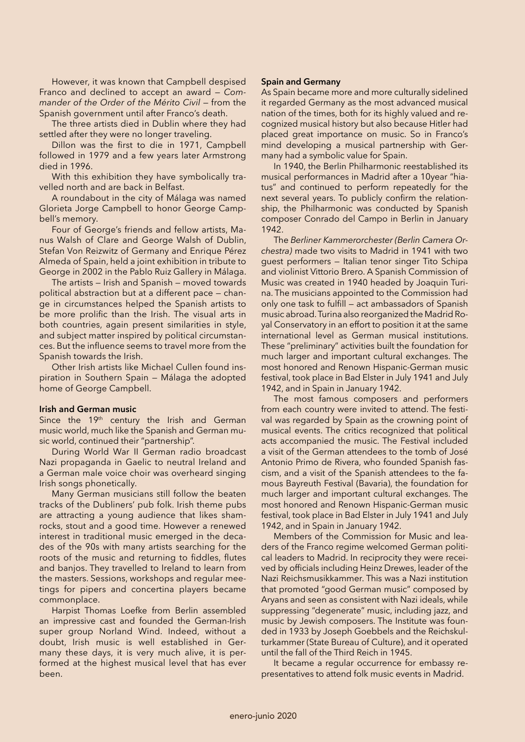However, it was known that Campbell despised Franco and declined to accept an award — *Commander of the Order of the Mérito Civil* — from the Spanish government until after Franco's death.

The three artists died in Dublin where they had settled after they were no longer traveling.

Dillon was the first to die in 1971, Campbell followed in 1979 and a few years later Armstrong died in 1996.

With this exhibition they have symbolically travelled north and are back in Belfast.

A roundabout in the city of Málaga was named Glorieta Jorge Campbell to honor George Campbell's memory.

Four of George's friends and fellow artists, Manus Walsh of Clare and George Walsh of Dublin, Stefan Von Reizwitz of Germany and Enrique Pérez Almeda of Spain, held a joint exhibition in tribute to George in 2002 in the Pablo Ruiz Gallery in Málaga.

The artists — Irish and Spanish — moved towards political abstraction but at a different pace — change in circumstances helped the Spanish artists to be more prolific than the Irish. The visual arts in both countries, again present similarities in style, and subject matter inspired by political circumstances. But the influence seems to travel more from the Spanish towards the Irish.

Other Irish artists like Michael Cullen found inspiration in Southern Spain — Málaga the adopted home of George Campbell.

# **Irish and German music**

Since the 19<sup>th</sup> century the Irish and German music world, much like the Spanish and German music world, continued their "partnership".

During World War II German radio broadcast Nazi propaganda in Gaelic to neutral Ireland and a German male voice choir was overheard singing Irish songs phonetically.

Many German musicians still follow the beaten tracks of the Dubliners' pub folk. Irish theme pubs are attracting a young audience that likes shamrocks, stout and a good time. However a renewed interest in traditional music emerged in the decades of the 90s with many artists searching for the roots of the music and returning to fiddles, flutes and banjos. They travelled to Ireland to learn from the masters. Sessions, workshops and regular meetings for pipers and concertina players became commonplace.

Harpist Thomas Loefke from Berlin assembled an impressive cast and founded the German-Irish super group Norland Wind. Indeed, without a doubt, Irish music is well established in Germany these days, it is very much alive, it is performed at the highest musical level that has ever been.

# **Spain and Germany**

As Spain became more and more culturally sidelined it regarded Germany as the most advanced musical nation of the times, both for its highly valued and recognized musical history but also because Hitler had placed great importance on music. So in Franco's mind developing a musical partnership with Germany had a symbolic value for Spain.

In 1940, the Berlin Philharmonic reestablished its musical performances in Madrid after a 10year "hiatus" and continued to perform repeatedly for the next several years. To publicly confirm the relationship, the Philharmonic was conducted by Spanish composer Conrado del Campo in Berlin in January 1942.

The *Berliner Kammerorchester (Berlin Camera Orchestra)* made two visits to Madrid in 1941 with two guest performers — Italian tenor singer Tito Schipa and violinist Vittorio Brero. A Spanish Commission of Music was created in 1940 headed by Joaquin Turina. The musicians appointed to the Commission had only one task to fulfill — act ambassadors of Spanish music abroad. Turina also reorganized the Madrid Royal Conservatory in an effort to position it at the same international level as German musical institutions. These "preliminary" activities built the foundation for much larger and important cultural exchanges. The most honored and Renown Hispanic-German music festival, took place in Bad Elster in July 1941 and July 1942, and in Spain in January 1942.

The most famous composers and performers from each country were invited to attend. The festival was regarded by Spain as the crowning point of musical events. The critics recognized that political acts accompanied the music. The Festival included a visit of the German attendees to the tomb of José Antonio Primo de Rivera, who founded Spanish fascism, and a visit of the Spanish attendees to the famous Bayreuth Festival (Bavaria), the foundation for much larger and important cultural exchanges. The most honored and Renown Hispanic-German music festival, took place in Bad Elster in July 1941 and July 1942, and in Spain in January 1942.

Members of the Commission for Music and leaders of the Franco regime welcomed German political leaders to Madrid. In reciprocity they were received by officials including Heinz Drewes, leader of the Nazi Reichsmusikkammer. This was a Nazi institution that promoted "good German music" composed by Aryans and seen as consistent with Nazi ideals, while suppressing "degenerate" music, including jazz, and music by Jewish composers. The Institute was founded in 1933 by Joseph Goebbels and the Reichskulturkammer (State Bureau of Culture), and it operated until the fall of the Third Reich in 1945.

It became a regular occurrence for embassy representatives to attend folk music events in Madrid.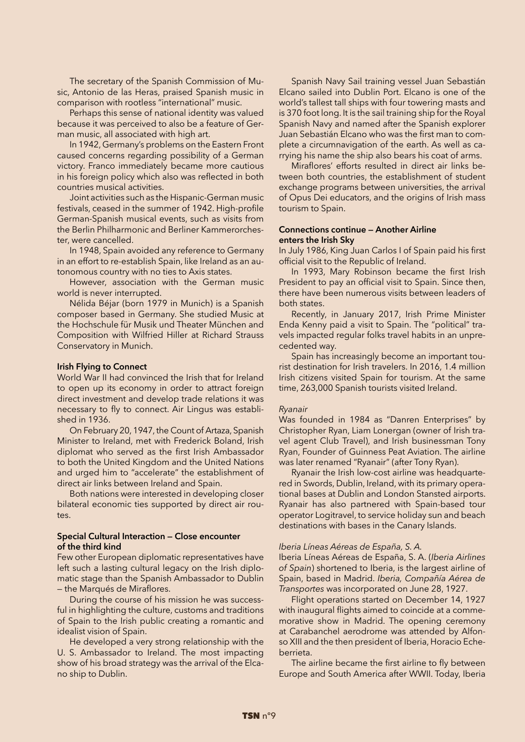The secretary of the Spanish Commission of Music, Antonio de las Heras, praised Spanish music in comparison with rootless "international" music.

Perhaps this sense of national identity was valued because it was perceived to also be a feature of German music, all associated with high art.

In 1942, Germany's problems on the Eastern Front caused concerns regarding possibility of a German victory. Franco immediately became more cautious in his foreign policy which also was reflected in both countries musical activities.

Joint activities such as the Hispanic-German music festivals, ceased in the summer of 1942. High-profile German-Spanish musical events, such as visits from the Berlin Philharmonic and Berliner Kammerorchester, were cancelled.

In 1948, Spain avoided any reference to Germany in an effort to re-establish Spain, like Ireland as an autonomous country with no ties to Axis states.

However, association with the German music world is never interrupted.

Nélida Béjar (born 1979 in Munich) is a Spanish composer based in Germany. She studied Music at the Hochschule für Musik und Theater München and Composition with Wilfried Hiller at Richard Strauss Conservatory in Munich.

### **Irish Flying to Connect**

World War II had convinced the Irish that for Ireland to open up its economy in order to attract foreign direct investment and develop trade relations it was necessary to fly to connect. Air Lingus was established in 1936.

On February 20, 1947, the Count of Artaza, Spanish Minister to Ireland, met with Frederick Boland, Irish diplomat who served as the first Irish Ambassador to both the United Kingdom and the United Nations and urged him to "accelerate" the establishment of direct air links between Ireland and Spain.

Both nations were interested in developing closer bilateral economic ties supported by direct air routes.

# **Special Cultural Interaction — Close encounter of the third kind**

Few other European diplomatic representatives have left such a lasting cultural legacy on the Irish diplomatic stage than the Spanish Ambassador to Dublin — the Marqués de Miraflores.

During the course of his mission he was successful in highlighting the culture, customs and traditions of Spain to the Irish public creating a romantic and idealist vision of Spain.

He developed a very strong relationship with the U. S. Ambassador to Ireland. The most impacting show of his broad strategy was the arrival of the Elcano ship to Dublin.

Spanish Navy Sail training vessel Juan Sebastián Elcano sailed into Dublin Port. Elcano is one of the world's tallest tall ships with four towering masts and is 370 foot long. It is the sail training ship for the Royal Spanish Navy and named after the Spanish explorer Juan Sebastián Elcano who was the first man to complete a circumnavigation of the earth. As well as carrying his name the ship also bears his coat of arms.

Miraflores' efforts resulted in direct air links between both countries, the establishment of student exchange programs between universities, the arrival of Opus Dei educators, and the origins of Irish mass tourism to Spain.

# **Connections continue — Another Airline enters the Irish Sky**

In July 1986, King Juan Carlos I of Spain paid his first official visit to the Republic of Ireland.

In 1993, Mary Robinson became the first Irish President to pay an official visit to Spain. Since then, there have been numerous visits between leaders of both states.

Recently, in January 2017, Irish Prime Minister Enda Kenny paid a visit to Spain. The "political" travels impacted regular folks travel habits in an unprecedented way.

Spain has increasingly become an important tourist destination for Irish travelers. In 2016, 1.4 million Irish citizens visited Spain for tourism. At the same time, 263,000 Spanish tourists visited Ireland.

#### *Ryanair*

Was founded in 1984 as "Danren Enterprises" by Christopher Ryan, Liam Lonergan (owner of Irish travel agent Club Travel), and Irish businessman Tony Ryan, Founder of Guinness Peat Aviation. The airline was later renamed "Ryanair" (after Tony Ryan).

Ryanair the Irish low-cost airline was headquartered in Swords, Dublin, Ireland, with its primary operational bases at Dublin and London Stansted airports. Ryanair has also partnered with Spain-based tour operator Logitravel, to service holiday sun and beach destinations with bases in the Canary Islands.

#### *Iberia Líneas Aéreas de España, S. A.*

Iberia Líneas Aéreas de España, S. A. (*Iberia Airlines of Spain*) shortened to Iberia, is the largest airline of Spain, based in Madrid. *Iberia, Compañía Aérea de Transportes* was incorporated on June 28, 1927.

Flight operations started on December 14, 1927 with inaugural flights aimed to coincide at a commemorative show in Madrid. The opening ceremony at Carabanchel aerodrome was attended by Alfonso XIII and the then president of Iberia, Horacio Echeberrieta.

The airline became the first airline to fly between Europe and South America after WWII. Today, Iberia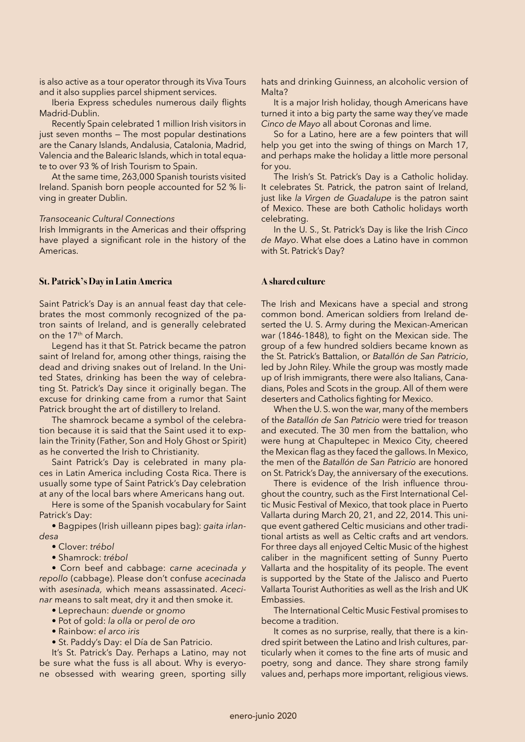is also active as a tour operator through its Viva Tours and it also supplies parcel shipment services.

Iberia Express schedules numerous daily flights Madrid-Dublin.

Recently Spain celebrated 1 million Irish visitors in just seven months — The most popular destinations are the Canary Islands, Andalusia, Catalonia, Madrid, Valencia and the Balearic Islands, which in total equate to over 93 % of Irish Tourism to Spain.

At the same time, 263,000 Spanish tourists visited Ireland. Spanish born people accounted for 52 % living in greater Dublin.

# *Transoceanic Cultural Connections*

Irish Immigrants in the Americas and their offspring have played a significant role in the history of the Americas.

# **St. Patrick's Day in Latin America**

Saint Patrick's Day is an annual feast day that celebrates the most commonly recognized of the patron saints of Ireland, and is generally celebrated on the 17th of March.

Legend has it that St. Patrick became the patron saint of Ireland for, among other things, raising the dead and driving snakes out of Ireland. In the United States, drinking has been the way of celebrating St. Patrick's Day since it originally began. The excuse for drinking came from a rumor that Saint Patrick brought the art of distillery to Ireland.

The shamrock became a symbol of the celebration because it is said that the Saint used it to explain the Trinity (Father, Son and Holy Ghost or Spirit) as he converted the Irish to Christianity.

Saint Patrick's Day is celebrated in many places in Latin America including Costa Rica. There is usually some type of Saint Patrick's Day celebration at any of the local bars where Americans hang out.

Here is some of the Spanish vocabulary for Saint Patrick's Day:

• Bagpipes (Irish uilleann pipes bag): *gaita irlandesa*

- Clover: *trébol*
- Shamrock: *trébol*

• Corn beef and cabbage: *carne acecinada y repollo* (cabbage). Please don't confuse *acecinada*  with *asesinada,* which means assassinated. *Acecinar* means to salt meat, dry it and then smoke it.

- Leprechaun: *duende* or *gnomo*
- Pot of gold: *la olla* or *perol de oro*
- Rainbow: *el arco iris*
- St. Paddy's Day: el Día de San Patricio.

It's St. Patrick's Day. Perhaps a Latino, may not be sure what the fuss is all about. Why is everyone obsessed with wearing green, sporting silly

hats and drinking Guinness, an alcoholic version of Malta?

It is a major Irish holiday, though Americans have turned it into a big party the same way they've made *Cinco de Mayo* all about Coronas and lime.

So for a Latino, here are a few pointers that will help you get into the swing of things on March 17, and perhaps make the holiday a little more personal for you.

The Irish's St. Patrick's Day is a Catholic holiday. It celebrates St. Patrick, the patron saint of Ireland, just like *la Virgen de Guadalupe* is the patron saint of Mexico. These are both Catholic holidays worth celebrating.

In the U. S., St. Patrick's Day is like the Irish *Cinco de Mayo*. What else does a Latino have in common with St. Patrick's Day?

### **A shared culture**

The Irish and Mexicans have a special and strong common bond. American soldiers from Ireland deserted the U. S. Army during the Mexican-American war (1846-1848), to fight on the Mexican side. The group of a few hundred soldiers became known as the St. Patrick's Battalion, or *Batallón de San Patricio*, led by John Riley. While the group was mostly made up of Irish immigrants, there were also Italians, Canadians, Poles and Scots in the group. All of them were deserters and Catholics fighting for Mexico.

When the U. S. won the war, many of the members of the *Batallón de San Patricio* were tried for treason and executed. The 30 men from the battalion, who were hung at Chapultepec in Mexico City, cheered the Mexican flag as they faced the gallows. In Mexico, the men of the *Batallón de San Patricio* are honored on St. Patrick's Day, the anniversary of the executions.

There is evidence of the Irish influence throughout the country, such as the First International Celtic Music Festival of Mexico, that took place in Puerto Vallarta during March 20, 21, and 22, 2014. This unique event gathered Celtic musicians and other traditional artists as well as Celtic crafts and art vendors. For three days all enjoyed Celtic Music of the highest caliber in the magnificent setting of Sunny Puerto Vallarta and the hospitality of its people. The event is supported by the State of the Jalisco and Puerto Vallarta Tourist Authorities as well as the Irish and UK Embassies.

The International Celtic Music Festival promises to become a tradition.

It comes as no surprise, really, that there is a kindred spirit between the Latino and Irish cultures, particularly when it comes to the fine arts of music and poetry, song and dance. They share strong family values and, perhaps more important, religious views.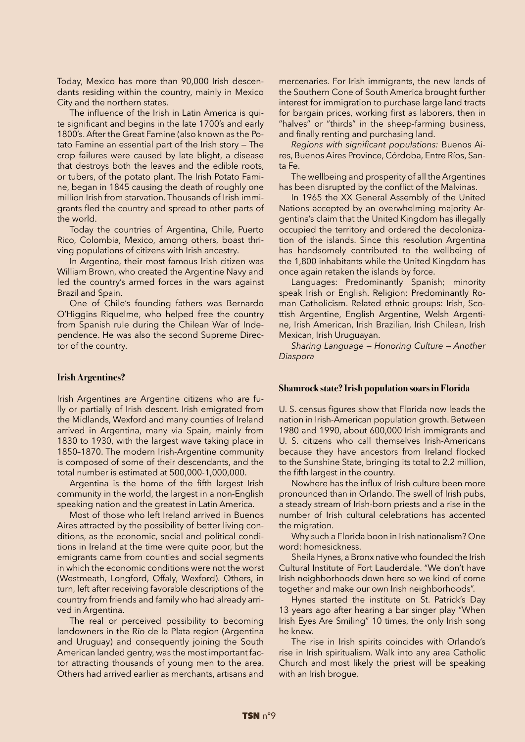Today, Mexico has more than 90,000 Irish descendants residing within the country, mainly in Mexico City and the northern states.

The influence of the Irish in Latin America is quite significant and begins in the late 1700's and early 1800's. After the Great Famine (also known as the Potato Famine an essential part of the Irish story — The crop failures were caused by late blight, a disease that destroys both the leaves and the edible roots, or tubers, of the potato plant. The Irish Potato Famine, began in 1845 causing the death of roughly one million Irish from starvation. Thousands of Irish immigrants fled the country and spread to other parts of the world.

Today the countries of Argentina, Chile, Puerto Rico, Colombia, Mexico, among others, boast thriving populations of citizens with Irish ancestry.

In Argentina, their most famous Irish citizen was William Brown, who created the Argentine Navy and led the country's armed forces in the wars against Brazil and Spain.

One of Chile's founding fathers was Bernardo O'Higgins Riquelme, who helped free the country from Spanish rule during the Chilean War of Independence. He was also the second Supreme Director of the country.

# **Irish Argentines?**

Irish Argentines are Argentine citizens who are fully or partially of Irish descent. Irish emigrated from the Midlands, Wexford and many counties of Ireland arrived in Argentina, many via Spain, mainly from 1830 to 1930, with the largest wave taking place in 1850–1870. The modern Irish-Argentine community is composed of some of their descendants, and the total number is estimated at 500,000-1,000,000.

Argentina is the home of the fifth largest Irish community in the world, the largest in a non-English speaking nation and the greatest in Latin America.

Most of those who left Ireland arrived in Buenos Aires attracted by the possibility of better living conditions, as the economic, social and political conditions in Ireland at the time were quite poor, but the emigrants came from counties and social segments in which the economic conditions were not the worst (Westmeath, Longford, Offaly, Wexford). Others, in turn, left after receiving favorable descriptions of the country from friends and family who had already arrived in Argentina.

The real or perceived possibility to becoming landowners in the Río de la Plata region (Argentina and Uruguay) and consequently joining the South American landed gentry, was the most important factor attracting thousands of young men to the area. Others had arrived earlier as merchants, artisans and

mercenaries. For Irish immigrants, the new lands of the Southern Cone of South America brought further interest for immigration to purchase large land tracts for bargain prices, working first as laborers, then in "halves" or "thirds" in the sheep-farming business, and finally renting and purchasing land.

*Regions with significant populations:* Buenos Aires, Buenos Aires Province, Córdoba, Entre Ríos, Santa Fe.

The wellbeing and prosperity of all the Argentines has been disrupted by the conflict of the Malvinas.

In 1965 the XX General Assembly of the United Nations accepted by an overwhelming majority Argentina's claim that the United Kingdom has illegally occupied the territory and ordered the decolonization of the islands. Since this resolution Argentina has handsomely contributed to the wellbeing of the 1,800 inhabitants while the United Kingdom has once again retaken the islands by force.

Languages: Predominantly Spanish; minority speak Irish or English. Religion: Predominantly Roman Catholicism. Related ethnic groups: Irish, Scottish Argentine, English Argentine, Welsh Argentine, Irish American, Irish Brazilian, Irish Chilean, Irish Mexican, Irish Uruguayan.

*Sharing Language — Honoring Culture — Another Diaspora*

#### **Shamrock state? Irish population soars in Florida**

U. S. census figures show that Florida now leads the nation in Irish-American population growth. Between 1980 and 1990, about 600,000 Irish immigrants and U. S. citizens who call themselves Irish-Americans because they have ancestors from Ireland flocked to the Sunshine State, bringing its total to 2.2 million, the fifth largest in the country.

Nowhere has the influx of Irish culture been more pronounced than in Orlando. The swell of Irish pubs, a steady stream of Irish-born priests and a rise in the number of Irish cultural celebrations has accented the migration.

Why such a Florida boon in Irish nationalism? One word: homesickness.

Sheila Hynes, a Bronx native who founded the Irish Cultural Institute of Fort Lauderdale. "We don't have Irish neighborhoods down here so we kind of come together and make our own Irish neighborhoods".

Hynes started the institute on St. Patrick's Day 13 years ago after hearing a bar singer play "When Irish Eyes Are Smiling" 10 times, the only Irish song he knew.

The rise in Irish spirits coincides with Orlando's rise in Irish spiritualism. Walk into any area Catholic Church and most likely the priest will be speaking with an Irish brogue.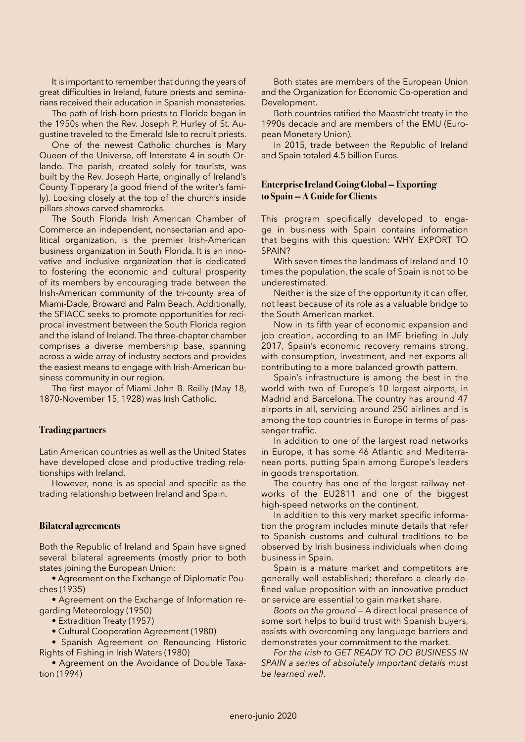It is important to remember that during the years of great difficulties in Ireland, future priests and seminarians received their education in Spanish monasteries.

The path of Irish-born priests to Florida began in the 1950s when the Rev. Joseph P. Hurley of St. Augustine traveled to the Emerald Isle to recruit priests.

One of the newest Catholic churches is Mary Queen of the Universe, off Interstate 4 in south Orlando. The parish, created solely for tourists, was built by the Rev. Joseph Harte, originally of Ireland's County Tipperary (a good friend of the writer's family). Looking closely at the top of the church's inside pillars shows carved shamrocks.

The South Florida Irish American Chamber of Commerce an independent, nonsectarian and apolitical organization, is the premier Irish-American business organization in South Florida. It is an innovative and inclusive organization that is dedicated to fostering the economic and cultural prosperity of its members by encouraging trade between the Irish-American community of the tri-county area of Miami-Dade, Broward and Palm Beach. Additionally, the SFIACC seeks to promote opportunities for reciprocal investment between the South Florida region and the island of Ireland. The three-chapter chamber comprises a diverse membership base, spanning across a wide array of industry sectors and provides the easiest means to engage with Irish-American business community in our region.

The first mayor of Miami John B. Reilly (May 18, 1870-November 15, 1928) was Irish Catholic.

# **Trading partners**

Latin American countries as well as the United States have developed close and productive trading relationships with Ireland.

However, none is as special and specific as the trading relationship between Ireland and Spain.

#### **Bilateral agreements**

Both the Republic of Ireland and Spain have signed several bilateral agreements (mostly prior to both states joining the European Union:

• Agreement on the Exchange of Diplomatic Pouches (1935)

• Agreement on the Exchange of Information regarding Meteorology (1950)

• Extradition Treaty (1957)

• Cultural Cooperation Agreement (1980)

• Spanish Agreement on Renouncing Historic Rights of Fishing in Irish Waters (1980)

• Agreement on the Avoidance of Double Taxation (1994)

Both states are members of the European Union and the Organization for Economic Co-operation and Development.

Both countries ratified the Maastricht treaty in the 1990s decade and are members of the EMU (European Monetary Union).

In 2015, trade between the Republic of Ireland and Spain totaled 4.5 billion Euros.

# **Enterprise Ireland Going Global — Exporting to Spain — A Guide for Clients**

This program specifically developed to engage in business with Spain contains information that begins with this question: WHY EXPORT TO SPAIN?

With seven times the landmass of Ireland and 10 times the population, the scale of Spain is not to be underestimated.

Neither is the size of the opportunity it can offer, not least because of its role as a valuable bridge to the South American market.

Now in its fifth year of economic expansion and job creation, according to an IMF briefing in July 2017, Spain's economic recovery remains strong, with consumption, investment, and net exports all contributing to a more balanced growth pattern.

Spain's infrastructure is among the best in the world with two of Europe's 10 largest airports, in Madrid and Barcelona. The country has around 47 airports in all, servicing around 250 airlines and is among the top countries in Europe in terms of passenger traffic.

In addition to one of the largest road networks in Europe, it has some 46 Atlantic and Mediterranean ports, putting Spain among Europe's leaders in goods transportation.

The country has one of the largest railway networks of the EU2811 and one of the biggest high-speed networks on the continent.

In addition to this very market specific information the program includes minute details that refer to Spanish customs and cultural traditions to be observed by Irish business individuals when doing business in Spain.

Spain is a mature market and competitors are generally well established; therefore a clearly defined value proposition with an innovative product or service are essential to gain market share.

*Boots on the ground* — A direct local presence of some sort helps to build trust with Spanish buyers, assists with overcoming any language barriers and demonstrates your commitment to the market.

*For the Irish to GET READY TO DO BUSINESS IN SPAIN a series of absolutely important details must be learned well*.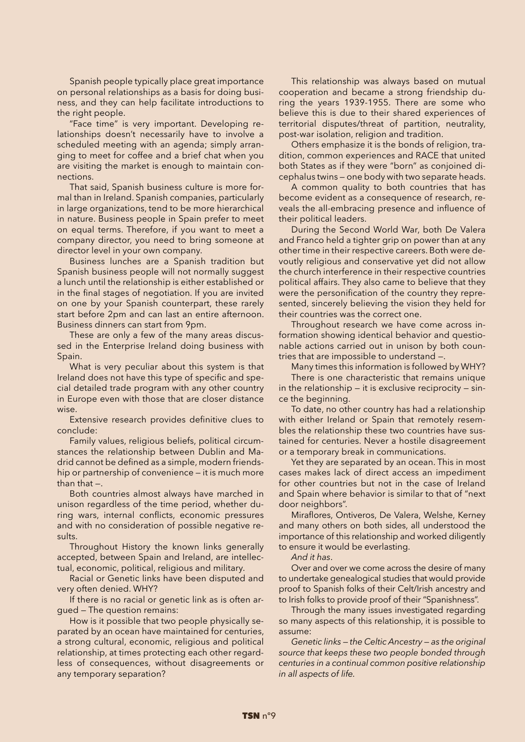Spanish people typically place great importance on personal relationships as a basis for doing business, and they can help facilitate introductions to the right people.

"Face time" is very important. Developing relationships doesn't necessarily have to involve a scheduled meeting with an agenda; simply arranging to meet for coffee and a brief chat when you are visiting the market is enough to maintain connections.

That said, Spanish business culture is more formal than in Ireland. Spanish companies, particularly in large organizations, tend to be more hierarchical in nature. Business people in Spain prefer to meet on equal terms. Therefore, if you want to meet a company director, you need to bring someone at director level in your own company.

Business lunches are a Spanish tradition but Spanish business people will not normally suggest a lunch until the relationship is either established or in the final stages of negotiation. If you are invited on one by your Spanish counterpart, these rarely start before 2pm and can last an entire afternoon. Business dinners can start from 9pm.

These are only a few of the many areas discussed in the Enterprise Ireland doing business with Spain.

What is very peculiar about this system is that Ireland does not have this type of specific and special detailed trade program with any other country in Europe even with those that are closer distance wise.

Extensive research provides definitive clues to conclude:

Family values, religious beliefs, political circumstances the relationship between Dublin and Madrid cannot be defined as a simple, modern friendship or partnership of convenience — it is much more than that —.

Both countries almost always have marched in unison regardless of the time period, whether during wars, internal conflicts, economic pressures and with no consideration of possible negative results.

Throughout History the known links generally accepted, between Spain and Ireland, are intellectual, economic, political, religious and military.

Racial or Genetic links have been disputed and very often denied. WHY?

If there is no racial or genetic link as is often argued — The question remains:

How is it possible that two people physically separated by an ocean have maintained for centuries, a strong cultural, economic, religious and political relationship, at times protecting each other regardless of consequences, without disagreements or any temporary separation?

This relationship was always based on mutual cooperation and became a strong friendship during the years 1939-1955. There are some who believe this is due to their shared experiences of territorial disputes/threat of partition, neutrality, post-war isolation, religion and tradition.

Others emphasize it is the bonds of religion, tradition, common experiences and RACE that united both States as if they were "born" as conjoined dicephalus twins — one body with two separate heads.

A common quality to both countries that has become evident as a consequence of research, reveals the all-embracing presence and influence of their political leaders.

During the Second World War, both De Valera and Franco held a tighter grip on power than at any other time in their respective careers. Both were devoutly religious and conservative yet did not allow the church interference in their respective countries political affairs. They also came to believe that they were the personification of the country they represented, sincerely believing the vision they held for their countries was the correct one.

Throughout research we have come across information showing identical behavior and questionable actions carried out in unison by both countries that are impossible to understand —.

Many times this information is followed by WHY?

There is one characteristic that remains unique in the relationship  $-$  it is exclusive reciprocity  $-$  since the beginning.

To date, no other country has had a relationship with either Ireland or Spain that remotely resembles the relationship these two countries have sustained for centuries. Never a hostile disagreement or a temporary break in communications.

Yet they are separated by an ocean. This in most cases makes lack of direct access an impediment for other countries but not in the case of Ireland and Spain where behavior is similar to that of "next door neighbors".

Miraflores, Ontiveros, De Valera, Welshe, Kerney and many others on both sides, all understood the importance of this relationship and worked diligently to ensure it would be everlasting.

*And it has*.

Over and over we come across the desire of many to undertake genealogical studies that would provide proof to Spanish folks of their Celt/Irish ancestry and to Irish folks to provide proof of their "Spanishness".

Through the many issues investigated regarding so many aspects of this relationship, it is possible to assume:

*Genetic links — the Celtic Ancestry — as the original source that keeps these two people bonded through centuries in a continual common positive relationship in all aspects of life.*